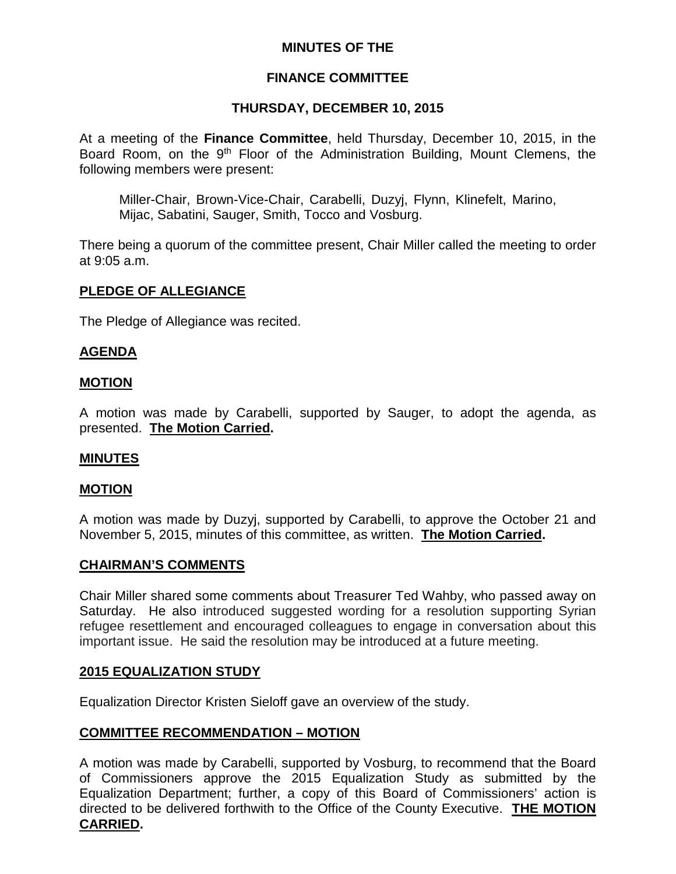# **MINUTES OF THE**

# **FINANCE COMMITTEE**

# **THURSDAY, DECEMBER 10, 2015**

At a meeting of the **Finance Committee**, held Thursday, December 10, 2015, in the Board Room, on the 9<sup>th</sup> Floor of the Administration Building, Mount Clemens, the following members were present:

Miller-Chair, Brown-Vice-Chair, Carabelli, Duzyj, Flynn, Klinefelt, Marino, Mijac, Sabatini, Sauger, Smith, Tocco and Vosburg.

There being a quorum of the committee present, Chair Miller called the meeting to order at 9:05 a.m.

### **PLEDGE OF ALLEGIANCE**

The Pledge of Allegiance was recited.

# **AGENDA**

#### **MOTION**

A motion was made by Carabelli, supported by Sauger, to adopt the agenda, as presented. **The Motion Carried.**

#### **MINUTES**

#### **MOTION**

A motion was made by Duzyj, supported by Carabelli, to approve the October 21 and November 5, 2015, minutes of this committee, as written. **The Motion Carried.**

#### **CHAIRMAN'S COMMENTS**

Chair Miller shared some comments about Treasurer Ted Wahby, who passed away on Saturday. He also introduced suggested wording for a resolution supporting Syrian refugee resettlement and encouraged colleagues to engage in conversation about this important issue. He said the resolution may be introduced at a future meeting.

#### **2015 EQUALIZATION STUDY**

Equalization Director Kristen Sieloff gave an overview of the study.

#### **COMMITTEE RECOMMENDATION – MOTION**

A motion was made by Carabelli, supported by Vosburg, to recommend that the Board of Commissioners approve the 2015 Equalization Study as submitted by the Equalization Department; further, a copy of this Board of Commissioners' action is directed to be delivered forthwith to the Office of the County Executive. **THE MOTION CARRIED.**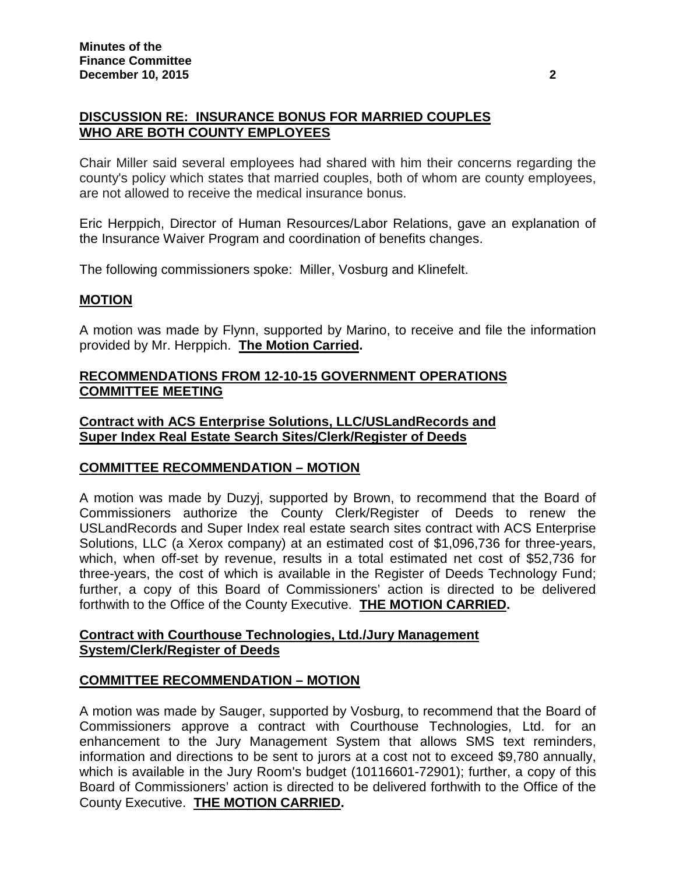# **DISCUSSION RE: INSURANCE BONUS FOR MARRIED COUPLES WHO ARE BOTH COUNTY EMPLOYEES**

Chair Miller said several employees had shared with him their concerns regarding the county's policy which states that married couples, both of whom are county employees, are not allowed to receive the medical insurance bonus.

Eric Herppich, Director of Human Resources/Labor Relations, gave an explanation of the Insurance Waiver Program and coordination of benefits changes.

The following commissioners spoke: Miller, Vosburg and Klinefelt.

# **MOTION**

A motion was made by Flynn, supported by Marino, to receive and file the information provided by Mr. Herppich. **The Motion Carried.**

# **RECOMMENDATIONS FROM 12-10-15 GOVERNMENT OPERATIONS COMMITTEE MEETING**

### **Contract with ACS Enterprise Solutions, LLC/USLandRecords and Super Index Real Estate Search Sites/Clerk/Register of Deeds**

# **COMMITTEE RECOMMENDATION – MOTION**

A motion was made by Duzyj, supported by Brown, to recommend that the Board of Commissioners authorize the County Clerk/Register of Deeds to renew the USLandRecords and Super Index real estate search sites contract with ACS Enterprise Solutions, LLC (a Xerox company) at an estimated cost of \$1,096,736 for three-years, which, when off-set by revenue, results in a total estimated net cost of \$52,736 for three-years, the cost of which is available in the Register of Deeds Technology Fund; further, a copy of this Board of Commissioners' action is directed to be delivered forthwith to the Office of the County Executive. **THE MOTION CARRIED.**

### **Contract with Courthouse Technologies, Ltd./Jury Management System/Clerk/Register of Deeds**

# **COMMITTEE RECOMMENDATION – MOTION**

A motion was made by Sauger, supported by Vosburg, to recommend that the Board of Commissioners approve a contract with Courthouse Technologies, Ltd. for an enhancement to the Jury Management System that allows SMS text reminders, information and directions to be sent to jurors at a cost not to exceed \$9,780 annually, which is available in the Jury Room's budget (10116601-72901); further, a copy of this Board of Commissioners' action is directed to be delivered forthwith to the Office of the County Executive. **THE MOTION CARRIED.**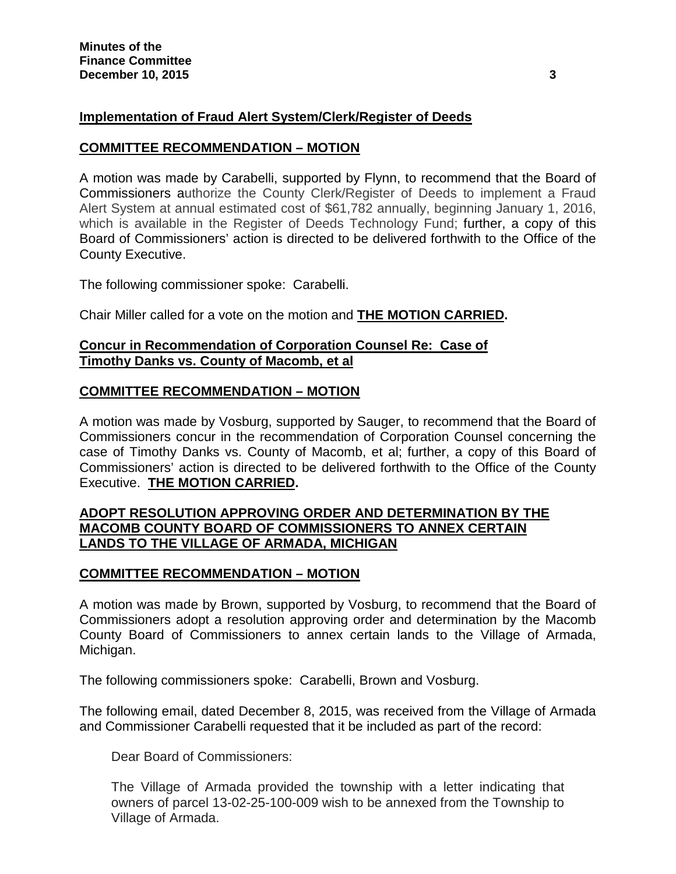# **Implementation of Fraud Alert System/Clerk/Register of Deeds**

### **COMMITTEE RECOMMENDATION – MOTION**

A motion was made by Carabelli, supported by Flynn, to recommend that the Board of Commissioners authorize the County Clerk/Register of Deeds to implement a Fraud Alert System at annual estimated cost of \$61,782 annually, beginning January 1, 2016, which is available in the Register of Deeds Technology Fund; further, a copy of this Board of Commissioners' action is directed to be delivered forthwith to the Office of the County Executive.

The following commissioner spoke: Carabelli.

Chair Miller called for a vote on the motion and **THE MOTION CARRIED.**

### **Concur in Recommendation of Corporation Counsel Re: Case of Timothy Danks vs. County of Macomb, et al**

# **COMMITTEE RECOMMENDATION – MOTION**

A motion was made by Vosburg, supported by Sauger, to recommend that the Board of Commissioners concur in the recommendation of Corporation Counsel concerning the case of Timothy Danks vs. County of Macomb, et al; further, a copy of this Board of Commissioners' action is directed to be delivered forthwith to the Office of the County Executive. **THE MOTION CARRIED.**

### **ADOPT RESOLUTION APPROVING ORDER AND DETERMINATION BY THE MACOMB COUNTY BOARD OF COMMISSIONERS TO ANNEX CERTAIN LANDS TO THE VILLAGE OF ARMADA, MICHIGAN**

# **COMMITTEE RECOMMENDATION – MOTION**

A motion was made by Brown, supported by Vosburg, to recommend that the Board of Commissioners adopt a resolution approving order and determination by the Macomb County Board of Commissioners to annex certain lands to the Village of Armada, Michigan.

The following commissioners spoke: Carabelli, Brown and Vosburg.

The following email, dated December 8, 2015, was received from the Village of Armada and Commissioner Carabelli requested that it be included as part of the record:

Dear Board of Commissioners:

The Village of Armada provided the township with a letter indicating that owners of parcel 13-02-25-100-009 wish to be annexed from the Township to Village of Armada.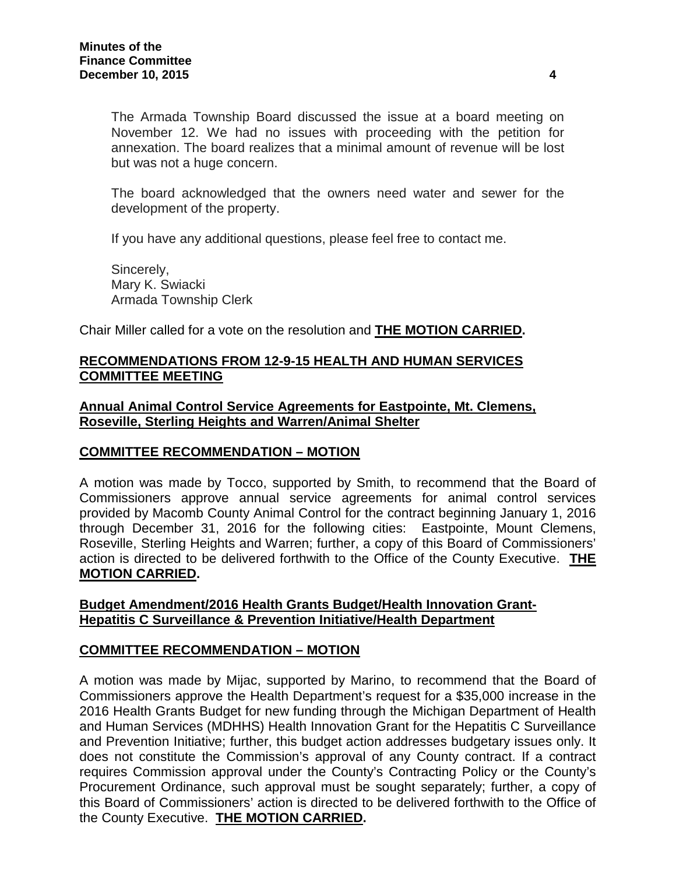The Armada Township Board discussed the issue at a board meeting on November 12. We had no issues with proceeding with the petition for annexation. The board realizes that a minimal amount of revenue will be lost but was not a huge concern.

The board acknowledged that the owners need water and sewer for the development of the property.

If you have any additional questions, please feel free to contact me.

Sincerely, Mary K. Swiacki Armada Township Clerk

Chair Miller called for a vote on the resolution and **THE MOTION CARRIED.**

### **RECOMMENDATIONS FROM 12-9-15 HEALTH AND HUMAN SERVICES COMMITTEE MEETING**

#### **Annual Animal Control Service Agreements for Eastpointe, Mt. Clemens, Roseville, Sterling Heights and Warren/Animal Shelter**

#### **COMMITTEE RECOMMENDATION – MOTION**

A motion was made by Tocco, supported by Smith, to recommend that the Board of Commissioners approve annual service agreements for animal control services provided by Macomb County Animal Control for the contract beginning January 1, 2016 through December 31, 2016 for the following cities: Eastpointe, Mount Clemens, Roseville, Sterling Heights and Warren; further, a copy of this Board of Commissioners' action is directed to be delivered forthwith to the Office of the County Executive. **THE MOTION CARRIED.**

#### **Budget Amendment/2016 Health Grants Budget/Health Innovation Grant-Hepatitis C Surveillance & Prevention Initiative/Health Department**

#### **COMMITTEE RECOMMENDATION – MOTION**

A motion was made by Mijac, supported by Marino, to recommend that the Board of Commissioners approve the Health Department's request for a \$35,000 increase in the 2016 Health Grants Budget for new funding through the Michigan Department of Health and Human Services (MDHHS) Health Innovation Grant for the Hepatitis C Surveillance and Prevention Initiative; further, this budget action addresses budgetary issues only. It does not constitute the Commission's approval of any County contract. If a contract requires Commission approval under the County's Contracting Policy or the County's Procurement Ordinance, such approval must be sought separately; further, a copy of this Board of Commissioners' action is directed to be delivered forthwith to the Office of the County Executive. **THE MOTION CARRIED.**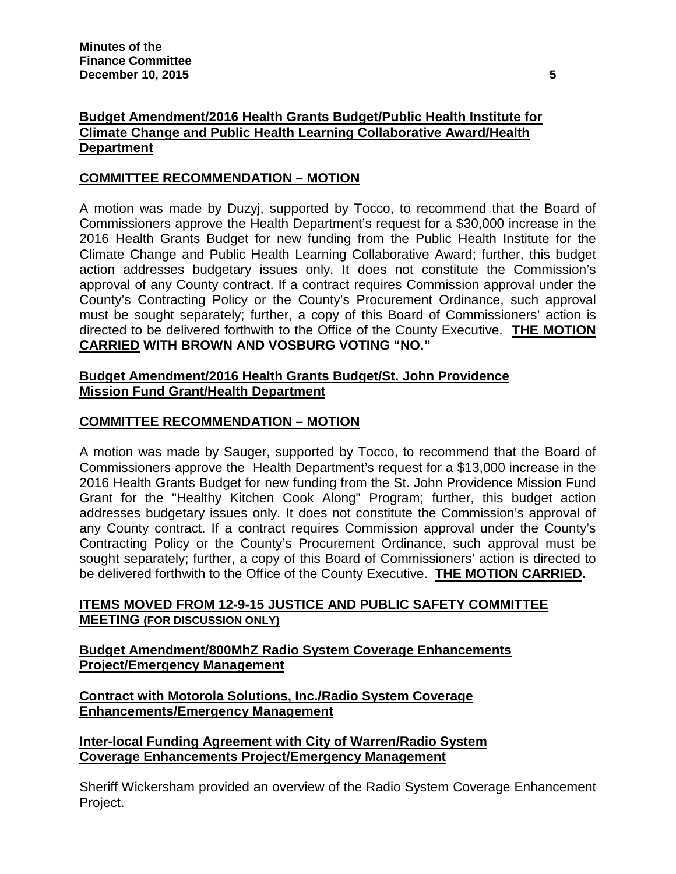# **Budget Amendment/2016 Health Grants Budget/Public Health Institute for Climate Change and Public Health Learning Collaborative Award/Health Department**

# **COMMITTEE RECOMMENDATION – MOTION**

A motion was made by Duzyj, supported by Tocco, to recommend that the Board of Commissioners approve the Health Department's request for a \$30,000 increase in the 2016 Health Grants Budget for new funding from the Public Health Institute for the Climate Change and Public Health Learning Collaborative Award; further, this budget action addresses budgetary issues only. It does not constitute the Commission's approval of any County contract. If a contract requires Commission approval under the County's Contracting Policy or the County's Procurement Ordinance, such approval must be sought separately; further, a copy of this Board of Commissioners' action is directed to be delivered forthwith to the Office of the County Executive. **THE MOTION CARRIED WITH BROWN AND VOSBURG VOTING "NO."**

# **Budget Amendment/2016 Health Grants Budget/St. John Providence Mission Fund Grant/Health Department**

# **COMMITTEE RECOMMENDATION – MOTION**

A motion was made by Sauger, supported by Tocco, to recommend that the Board of Commissioners approve the Health Department's request for a \$13,000 increase in the 2016 Health Grants Budget for new funding from the St. John Providence Mission Fund Grant for the "Healthy Kitchen Cook Along" Program; further, this budget action addresses budgetary issues only. It does not constitute the Commission's approval of any County contract. If a contract requires Commission approval under the County's Contracting Policy or the County's Procurement Ordinance, such approval must be sought separately; further, a copy of this Board of Commissioners' action is directed to be delivered forthwith to the Office of the County Executive. **THE MOTION CARRIED.**

# **ITEMS MOVED FROM 12-9-15 JUSTICE AND PUBLIC SAFETY COMMITTEE MEETING (FOR DISCUSSION ONLY)**

# **Budget Amendment/800MhZ Radio System Coverage Enhancements Project/Emergency Management**

**Contract with Motorola Solutions, Inc./Radio System Coverage Enhancements/Emergency Management**

# **Inter-local Funding Agreement with City of Warren/Radio System Coverage Enhancements Project/Emergency Management**

Sheriff Wickersham provided an overview of the Radio System Coverage Enhancement Project.